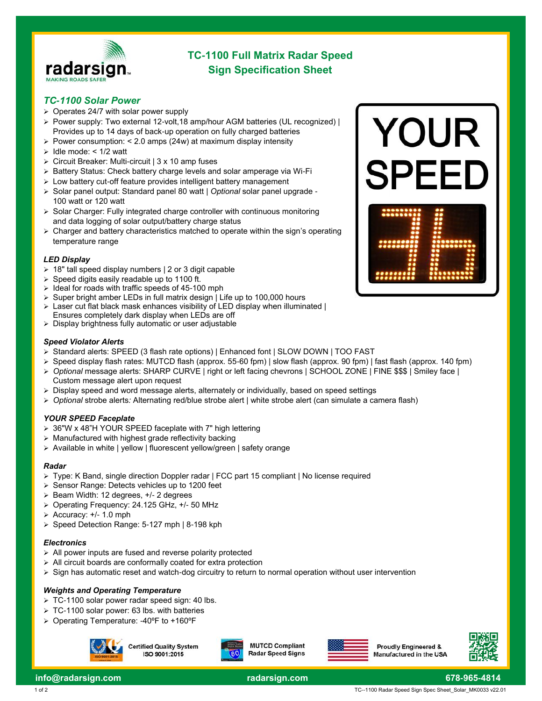

# **TC-1100 Full Matrix Radar Speed Sign Specification Sheet**

#### *TC-1100 Solar Power*

- ➢ Operates 24/7 with solar power supply
- ➢ Power supply: Two external 12-volt,18 amp/hour AGM batteries (UL recognized) | Provides up to 14 days of back-up operation on fully charged batteries
- $\geq$  Power consumption: < 2.0 amps (24w) at maximum display intensity
- $\geq$  Idle mode: < 1/2 watt
- ➢ Circuit Breaker: Multi-circuit | 3 x 10 amp fuses
- ➢ Battery Status: Check battery charge levels and solar amperage via Wi-Fi
- ➢ Low battery cut-off feature provides intelligent battery management
- ➢ Solar panel output: Standard panel 80 watt | *Optional* solar panel upgrade 100 watt or 120 watt
- ➢ Solar Charger: Fully integrated charge controller with continuous monitoring and data logging of solar output/battery charge status
- $\triangleright$  Charger and battery characteristics matched to operate within the sign's operating temperature range

#### *LED Display*

- ➢ 18" tall speed display numbers | 2 or 3 digit capable
- Speed digits easily readable up to 1100 ft.
- ➢ Ideal for roads with traffic speeds of 45-100 mph
- Super bright amber LEDs in full matrix design | Life up to 100,000 hours
- Laser cut flat black mask enhances visibility of LED display when illuminated | Ensures completely dark display when LEDs are off
- ➢ Display brightness fully automatic or user adjustable

#### *Speed Violator Alerts*

- ➢ Standard alerts: SPEED (3 flash rate options) | Enhanced font | SLOW DOWN | TOO FAST
- ➢ Speed display flash rates: MUTCD flash (approx. 55-60 fpm) | slow flash (approx. 90 fpm) | fast flash (approx. 140 fpm)
- ➢ *Optional* message alerts: SHARP CURVE | right or left facing chevrons | SCHOOL ZONE | FINE \$\$\$ | Smiley face | Custom message alert upon request
- $\triangleright$  Display speed and word message alerts, alternately or individually, based on speed settings
- ➢ *Optional* strobe alerts*:* Alternating red/blue strobe alert | white strobe alert (can simulate a camera flash)

#### *YOUR SPEED Faceplate*

- ➢ 36"W x 48"H YOUR SPEED faceplate with 7" high lettering
- ➢ Manufactured with highest grade reflectivity backing
- ➢ Available in white | yellow | fluorescent yellow/green | safety orange

#### *Radar*

- ➢ Type: K Band, single direction Doppler radar | FCC part 15 compliant | No license required
- Sensor Range: Detects vehicles up to 1200 feet
- ➢ Beam Width: 12 degrees, +/- 2 degrees
- ➢ Operating Frequency: 24.125 GHz, +/- 50 MHz
- $\geq$  Accuracy: +/- 1.0 mph
- ➢ Speed Detection Range: 5-127 mph | 8-198 kph

#### *Electronics*

- ➢ All power inputs are fused and reverse polarity protected
- ➢ All circuit boards are conformally coated for extra protection
- ➢ Sign has automatic reset and watch-dog circuitry to return to normal operation without user intervention

#### *Weights and Operating Temperature*

- ➢ TC-1100 solar power radar speed sign: 40 lbs.
- ➢ TC-1100 solar power: 63 lbs. with batteries
- ➢ Operating Temperature: -40ºF to +160ºF



**Certified Quality System** ISO 9001:2015



**MUTCD Compliant Radar Speed Signs**